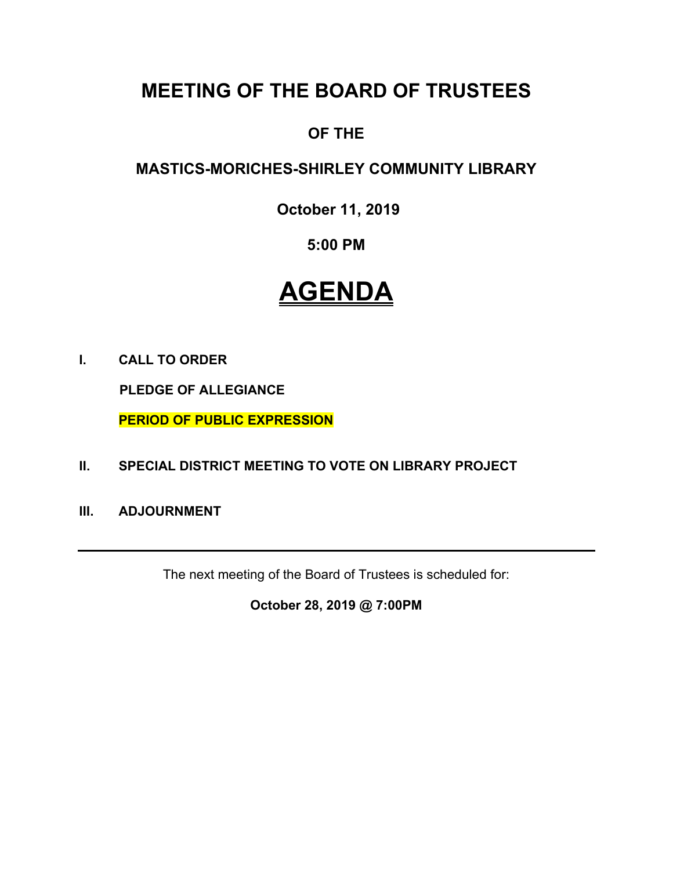# **MEETING OF THE BOARD OF TRUSTEES**

## **OF THE**

## **MASTICS-MORICHES-SHIRLEY COMMUNITY LIBRARY**

**October 11, 2019** 

### **5:00 PM**

# **AGENDA**

**I. CALL TO ORDER** 

 **PLEDGE OF ALLEGIANCE** 

 **PERIOD OF PUBLIC EXPRESSION** 

- **II. SPECIAL DISTRICT MEETING TO VOTE ON LIBRARY PROJECT**
- **III. ADJOURNMENT**

The next meeting of the Board of Trustees is scheduled for:

**October 28, 2019 @ 7:00PM**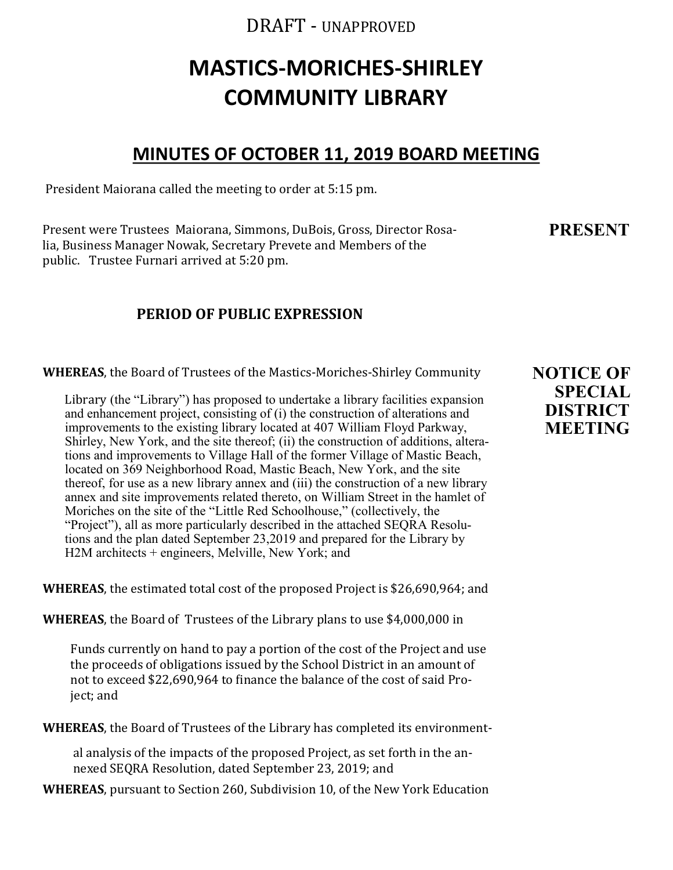### DRAFT - UNAPPROVED

# **MASTICS-MORICHES-SHIRLEY COMMUNITY LIBRARY**

### **MINUTES OF OCTOBER 11, 2019 BOARD MEETING**

President Maiorana called the meeting to order at 5:15 pm.

Present were Trustees Maiorana, Simmons, DuBois, Gross, Director Rosalia, Business Manager Nowak, Secretary Prevete and Members of the public. Trustee Furnari arrived at 5:20 pm.

**PRESENT**

### **PERIOD OF PUBLIC EXPRESSION**

**WHEREAS**, the Board of Trustees of the Mastics-Moriches-Shirley Community

Library (the "Library") has proposed to undertake a library facilities expansion and enhancement project, consisting of (i) the construction of alterations and improvements to the existing library located at 407 William Floyd Parkway, Shirley, New York, and the site thereof; (ii) the construction of additions, alterations and improvements to Village Hall of the former Village of Mastic Beach, located on 369 Neighborhood Road, Mastic Beach, New York, and the site thereof, for use as a new library annex and (iii) the construction of a new library annex and site improvements related thereto, on William Street in the hamlet of Moriches on the site of the "Little Red Schoolhouse," (collectively, the "Project"), all as more particularly described in the attached SEQRA Resolutions and the plan dated September 23,2019 and prepared for the Library by H2M architects + engineers, Melville, New York; and

**WHEREAS**, the estimated total cost of the proposed Project is \$26,690,964; and

**WHEREAS**, the Board of Trustees of the Library plans to use \$4,000,000 in

Funds currently on hand to pay a portion of the cost of the Project and use the proceeds of obligations issued by the School District in an amount of not to exceed \$22,690,964 to finance the balance of the cost of said Project; and

**WHEREAS**, the Board of Trustees of the Library has completed its environment-

al analysis of the impacts of the proposed Project, as set forth in the annexed SEQRA Resolution, dated September 23, 2019; and

**WHEREAS**, pursuant to Section 260, Subdivision 10, of the New York Education

**NOTICE OF SPECIAL DISTRICT MEETING**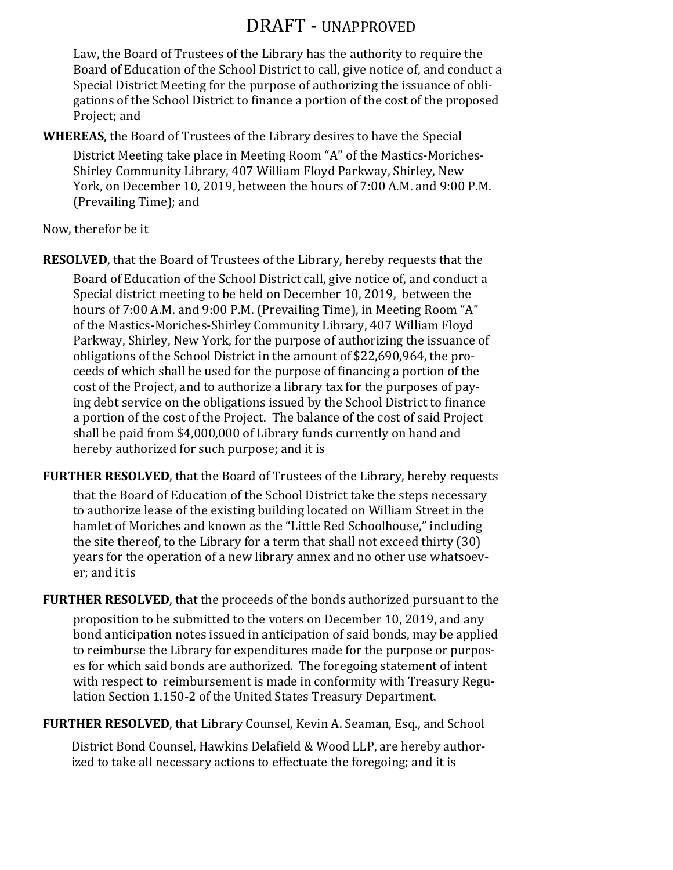## DRAFT - UNAPPROVED

Law, the Board of Trustees of the Library has the authority to require the Board of Education of the School District to call, give notice of, and conduct a Special District Meeting for the purpose of authorizing the issuance of obligations of the School District to finance a portion of the cost of the proposed Project; and

**WHEREAS**, the Board of Trustees of the Library desires to have the Special

District Meeting take place in Meeting Room "A" of the Mastics-Moriches-Shirley Community Library, 407 William Floyd Parkway, Shirley, New York, on December 10, 2019, between the hours of 7:00 A.M. and 9:00 P.M. (Prevailing Time); and

Now, therefor be it

**RESOLVED**, that the Board of Trustees of the Library, hereby requests that the

Board of Education of the School District call, give notice of, and conduct a Special district meeting to be held on December 10, 2019, between the hours of 7:00 A.M. and 9:00 P.M. (Prevailing Time), in Meeting Room "A" of the Mastics-Moriches-Shirley Community Library, 407 William Floyd Parkway, Shirley, New York, for the purpose of authorizing the issuance of obligations of the School District in the amount of \$22,690,964, the proceeds of which shall be used for the purpose of financing a portion of the cost of the Project, and to authorize a library tax for the purposes of paying debt service on the obligations issued by the School District to finance a portion of the cost of the Project. The balance of the cost of said Project shall be paid from \$4,000,000 of Library funds currently on hand and hereby authorized for such purpose; and it is

**FURTHER RESOLVED**, that the Board of Trustees of the Library, hereby requests

that the Board of Education of the School District take the steps necessary to authorize lease of the existing building located on William Street in the hamlet of Moriches and known as the "Little Red Schoolhouse," including the site thereof, to the Library for a term that shall not exceed thirty (30) years for the operation of a new library annex and no other use whatsoever; and it is

**FURTHER RESOLVED**, that the proceeds of the bonds authorized pursuant to the proposition to be submitted to the voters on December 10, 2019, and any bond anticipation notes issued in anticipation of said bonds, may be applied to reimburse the Library for expenditures made for the purpose or purposes for which said bonds are authorized. The foregoing statement of intent with respect to reimbursement is made in conformity with Treasury Regulation Section 1.150-2 of the United States Treasury Department.

**FURTHER RESOLVED**, that Library Counsel, Kevin A. Seaman, Esq., and School

District Bond Counsel, Hawkins Delafield & Wood LLP, are hereby authorized to take all necessary actions to effectuate the foregoing; and it is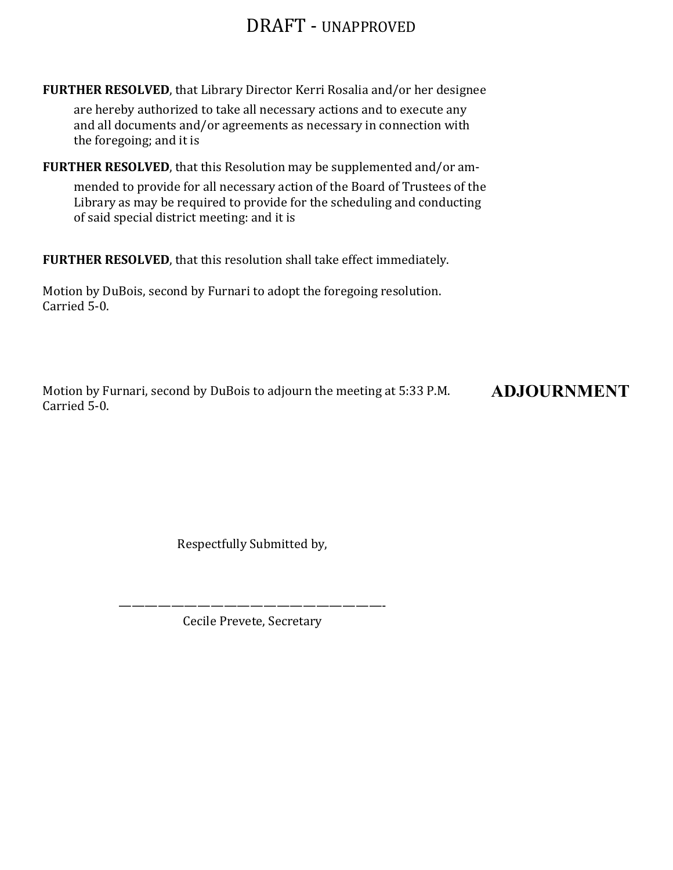## DRAFT - UNAPPROVED

**FURTHER RESOLVED**, that Library Director Kerri Rosalia and/or her designee

are hereby authorized to take all necessary actions and to execute any and all documents and/or agreements as necessary in connection with the foregoing; and it is

**FURTHER RESOLVED**, that this Resolution may be supplemented and/or am-

mended to provide for all necessary action of the Board of Trustees of the Library as may be required to provide for the scheduling and conducting of said special district meeting: and it is

**FURTHER RESOLVED**, that this resolution shall take effect immediately.

Motion by DuBois, second by Furnari to adopt the foregoing resolution. Carried 5-0.

Motion by Furnari, second by DuBois to adjourn the meeting at 5:33 P.M. Carried 5-0. **ADJOURNMENT**

Respectfully Submitted by,

————————————————————- Cecile Prevete, Secretary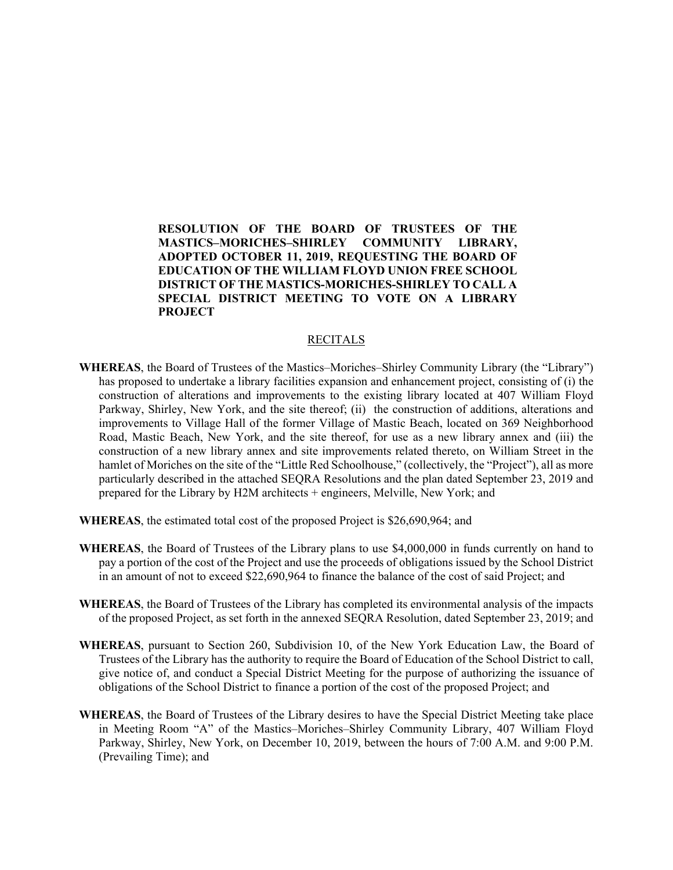**RESOLUTION OF THE BOARD OF TRUSTEES OF THE MASTICS–MORICHES–SHIRLEY COMMUNITY LIBRARY, ADOPTED OCTOBER 11, 2019, REQUESTING THE BOARD OF EDUCATION OF THE WILLIAM FLOYD UNION FREE SCHOOL DISTRICT OF THE MASTICS-MORICHES-SHIRLEY TO CALL A SPECIAL DISTRICT MEETING TO VOTE ON A LIBRARY PROJECT** 

#### RECITALS

- **WHEREAS**, the Board of Trustees of the Mastics–Moriches–Shirley Community Library (the "Library") has proposed to undertake a library facilities expansion and enhancement project, consisting of (i) the construction of alterations and improvements to the existing library located at 407 William Floyd Parkway, Shirley, New York, and the site thereof; (ii) the construction of additions, alterations and improvements to Village Hall of the former Village of Mastic Beach, located on 369 Neighborhood Road, Mastic Beach, New York, and the site thereof, for use as a new library annex and (iii) the construction of a new library annex and site improvements related thereto, on William Street in the hamlet of Moriches on the site of the "Little Red Schoolhouse," (collectively, the "Project"), all as more particularly described in the attached SEQRA Resolutions and the plan dated September 23, 2019 and prepared for the Library by H2M architects + engineers, Melville, New York; and
- **WHEREAS**, the estimated total cost of the proposed Project is \$26,690,964; and
- **WHEREAS**, the Board of Trustees of the Library plans to use \$4,000,000 in funds currently on hand to pay a portion of the cost of the Project and use the proceeds of obligations issued by the School District in an amount of not to exceed \$22,690,964 to finance the balance of the cost of said Project; and
- **WHEREAS**, the Board of Trustees of the Library has completed its environmental analysis of the impacts of the proposed Project, as set forth in the annexed SEQRA Resolution, dated September 23, 2019; and
- **WHEREAS**, pursuant to Section 260, Subdivision 10, of the New York Education Law, the Board of Trustees of the Library has the authority to require the Board of Education of the School District to call, give notice of, and conduct a Special District Meeting for the purpose of authorizing the issuance of obligations of the School District to finance a portion of the cost of the proposed Project; and
- **WHEREAS**, the Board of Trustees of the Library desires to have the Special District Meeting take place in Meeting Room "A" of the Mastics–Moriches–Shirley Community Library, 407 William Floyd Parkway, Shirley, New York, on December 10, 2019, between the hours of 7:00 A.M. and 9:00 P.M. (Prevailing Time); and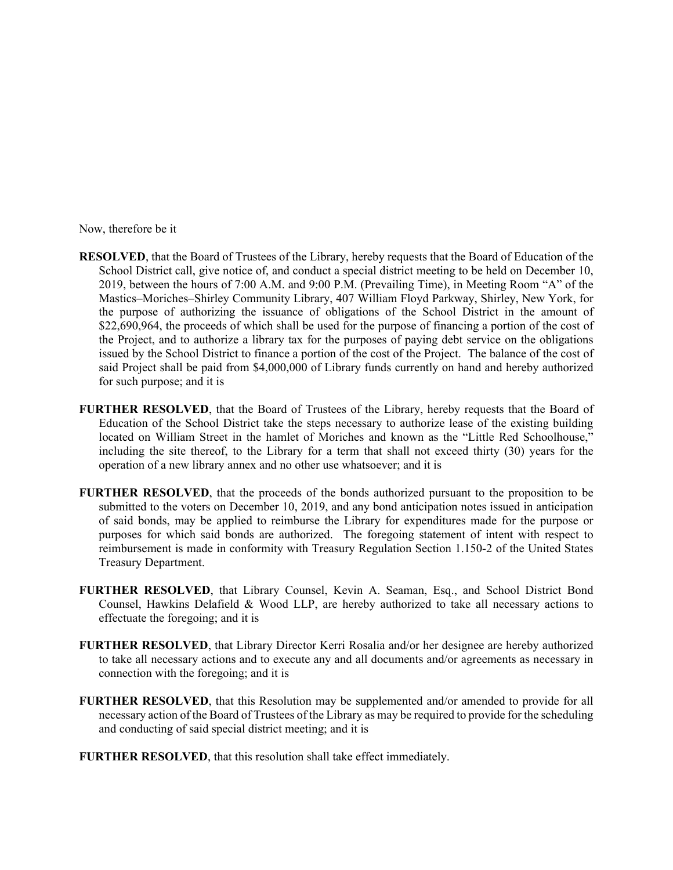Now, therefore be it

- **RESOLVED**, that the Board of Trustees of the Library, hereby requests that the Board of Education of the School District call, give notice of, and conduct a special district meeting to be held on December 10, 2019, between the hours of 7:00 A.M. and 9:00 P.M. (Prevailing Time), in Meeting Room "A" of the Mastics–Moriches–Shirley Community Library, 407 William Floyd Parkway, Shirley, New York, for the purpose of authorizing the issuance of obligations of the School District in the amount of \$22,690,964, the proceeds of which shall be used for the purpose of financing a portion of the cost of the Project, and to authorize a library tax for the purposes of paying debt service on the obligations issued by the School District to finance a portion of the cost of the Project. The balance of the cost of said Project shall be paid from \$4,000,000 of Library funds currently on hand and hereby authorized for such purpose; and it is
- **FURTHER RESOLVED**, that the Board of Trustees of the Library, hereby requests that the Board of Education of the School District take the steps necessary to authorize lease of the existing building located on William Street in the hamlet of Moriches and known as the "Little Red Schoolhouse," including the site thereof, to the Library for a term that shall not exceed thirty (30) years for the operation of a new library annex and no other use whatsoever; and it is
- **FURTHER RESOLVED**, that the proceeds of the bonds authorized pursuant to the proposition to be submitted to the voters on December 10, 2019, and any bond anticipation notes issued in anticipation of said bonds, may be applied to reimburse the Library for expenditures made for the purpose or purposes for which said bonds are authorized. The foregoing statement of intent with respect to reimbursement is made in conformity with Treasury Regulation Section 1.150-2 of the United States Treasury Department.
- **FURTHER RESOLVED**, that Library Counsel, Kevin A. Seaman, Esq., and School District Bond Counsel, Hawkins Delafield & Wood LLP, are hereby authorized to take all necessary actions to effectuate the foregoing; and it is
- **FURTHER RESOLVED**, that Library Director Kerri Rosalia and/or her designee are hereby authorized to take all necessary actions and to execute any and all documents and/or agreements as necessary in connection with the foregoing; and it is
- **FURTHER RESOLVED**, that this Resolution may be supplemented and/or amended to provide for all necessary action of the Board of Trustees of the Library as may be required to provide for the scheduling and conducting of said special district meeting; and it is
- **FURTHER RESOLVED**, that this resolution shall take effect immediately.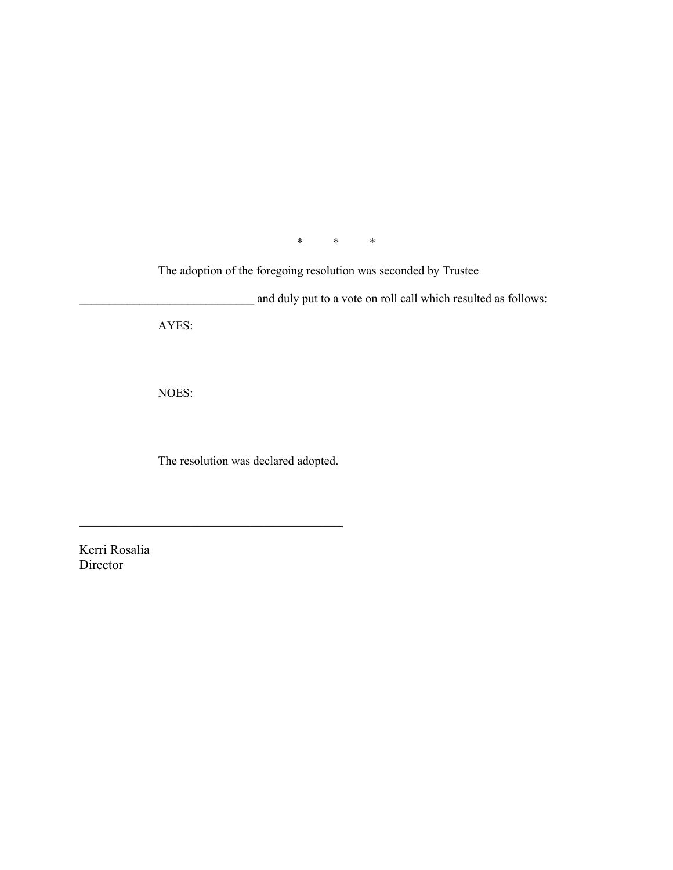$\begin{matrix} * & * \end{matrix}$   $\begin{matrix} * & * \end{matrix}$ 

The adoption of the foregoing resolution was seconded by Trustee

and duly put to a vote on roll call which resulted as follows: AYES:

NOES:

The resolution was declared adopted.

Kerri Rosalia Director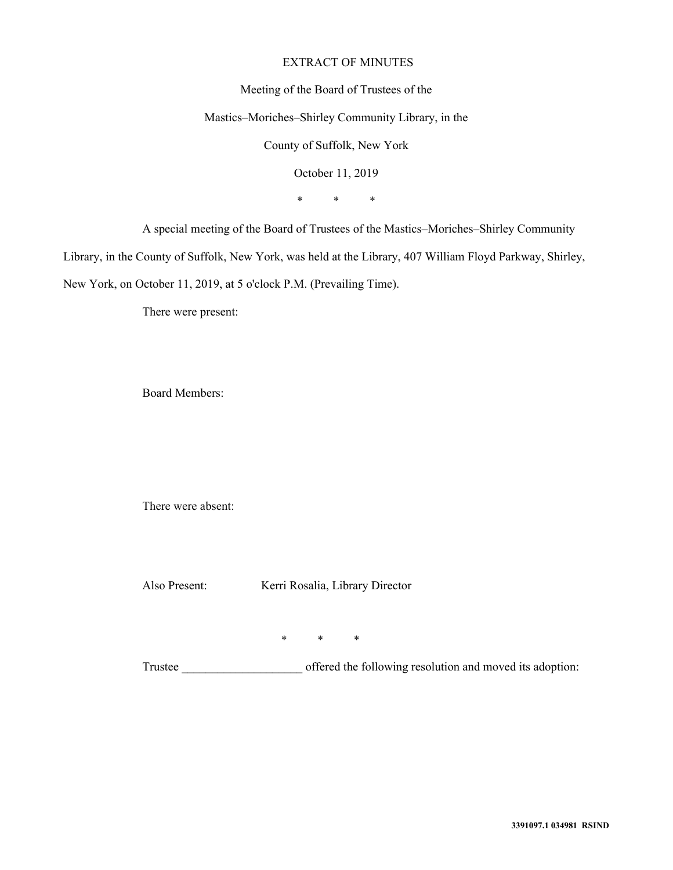#### EXTRACT OF MINUTES

#### Meeting of the Board of Trustees of the

#### Mastics–Moriches–Shirley Community Library, in the

County of Suffolk, New York

October 11, 2019

\* \* \*

A special meeting of the Board of Trustees of the Mastics–Moriches–Shirley Community

Library, in the County of Suffolk, New York, was held at the Library, 407 William Floyd Parkway, Shirley,

New York, on October 11, 2019, at 5 o'clock P.M. (Prevailing Time).

There were present:

Board Members:

There were absent:

 $*$  \* \* \*

Also Present: Kerri Rosalia, Library Director

Trustee offered the following resolution and moved its adoption: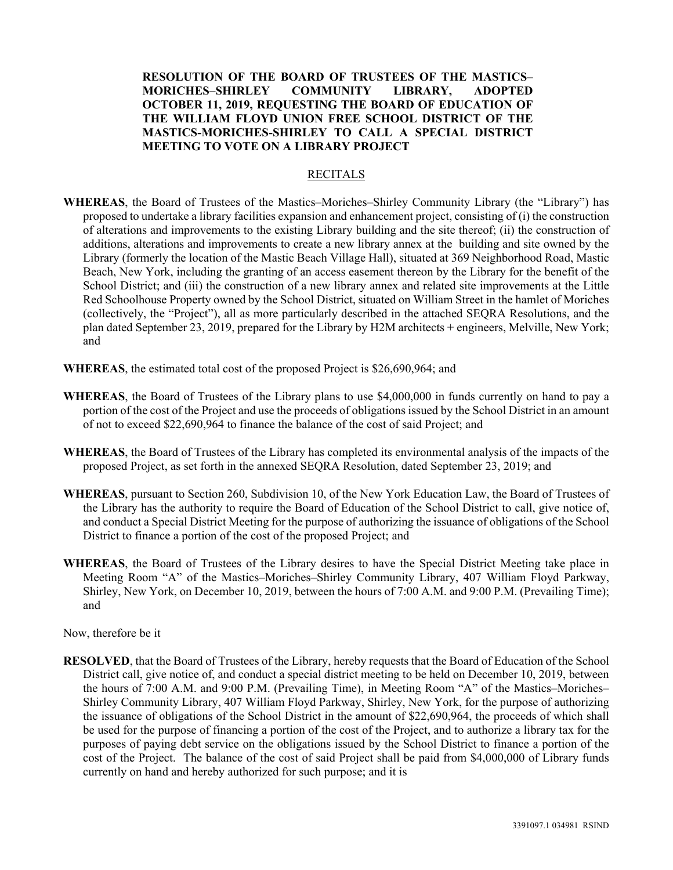**RESOLUTION OF THE BOARD OF TRUSTEES OF THE MASTICS– MORICHES–SHIRLEY COMMUNITY LIBRARY, ADOPTED OCTOBER 11, 2019, REQUESTING THE BOARD OF EDUCATION OF THE WILLIAM FLOYD UNION FREE SCHOOL DISTRICT OF THE MASTICS-MORICHES-SHIRLEY TO CALL A SPECIAL DISTRICT MEETING TO VOTE ON A LIBRARY PROJECT** 

#### RECITALS

- **WHEREAS**, the Board of Trustees of the Mastics–Moriches–Shirley Community Library (the "Library") has proposed to undertake a library facilities expansion and enhancement project, consisting of (i) the construction of alterations and improvements to the existing Library building and the site thereof; (ii) the construction of additions, alterations and improvements to create a new library annex at the building and site owned by the Library (formerly the location of the Mastic Beach Village Hall), situated at 369 Neighborhood Road, Mastic Beach, New York, including the granting of an access easement thereon by the Library for the benefit of the School District; and (iii) the construction of a new library annex and related site improvements at the Little Red Schoolhouse Property owned by the School District, situated on William Street in the hamlet of Moriches (collectively, the "Project"), all as more particularly described in the attached SEQRA Resolutions, and the plan dated September 23, 2019, prepared for the Library by H2M architects + engineers, Melville, New York; and
- **WHEREAS**, the estimated total cost of the proposed Project is \$26,690,964; and
- **WHEREAS**, the Board of Trustees of the Library plans to use \$4,000,000 in funds currently on hand to pay a portion of the cost of the Project and use the proceeds of obligations issued by the School District in an amount of not to exceed \$22,690,964 to finance the balance of the cost of said Project; and
- **WHEREAS**, the Board of Trustees of the Library has completed its environmental analysis of the impacts of the proposed Project, as set forth in the annexed SEQRA Resolution, dated September 23, 2019; and
- **WHEREAS**, pursuant to Section 260, Subdivision 10, of the New York Education Law, the Board of Trustees of the Library has the authority to require the Board of Education of the School District to call, give notice of, and conduct a Special District Meeting for the purpose of authorizing the issuance of obligations of the School District to finance a portion of the cost of the proposed Project; and
- **WHEREAS**, the Board of Trustees of the Library desires to have the Special District Meeting take place in Meeting Room "A" of the Mastics–Moriches–Shirley Community Library, 407 William Floyd Parkway, Shirley, New York, on December 10, 2019, between the hours of 7:00 A.M. and 9:00 P.M. (Prevailing Time); and

Now, therefore be it

**RESOLVED**, that the Board of Trustees of the Library, hereby requests that the Board of Education of the School District call, give notice of, and conduct a special district meeting to be held on December 10, 2019, between the hours of 7:00 A.M. and 9:00 P.M. (Prevailing Time), in Meeting Room "A" of the Mastics–Moriches– Shirley Community Library, 407 William Floyd Parkway, Shirley, New York, for the purpose of authorizing the issuance of obligations of the School District in the amount of \$22,690,964, the proceeds of which shall be used for the purpose of financing a portion of the cost of the Project, and to authorize a library tax for the purposes of paying debt service on the obligations issued by the School District to finance a portion of the cost of the Project. The balance of the cost of said Project shall be paid from \$4,000,000 of Library funds currently on hand and hereby authorized for such purpose; and it is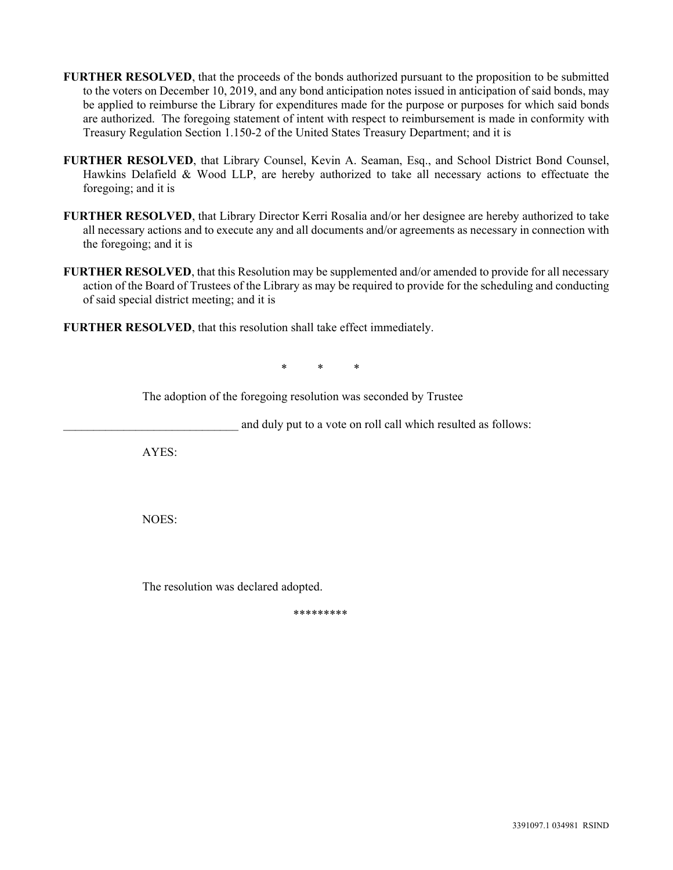- **FURTHER RESOLVED**, that the proceeds of the bonds authorized pursuant to the proposition to be submitted to the voters on December 10, 2019, and any bond anticipation notes issued in anticipation of said bonds, may be applied to reimburse the Library for expenditures made for the purpose or purposes for which said bonds are authorized. The foregoing statement of intent with respect to reimbursement is made in conformity with Treasury Regulation Section 1.150-2 of the United States Treasury Department; and it is
- **FURTHER RESOLVED**, that Library Counsel, Kevin A. Seaman, Esq., and School District Bond Counsel, Hawkins Delafield & Wood LLP, are hereby authorized to take all necessary actions to effectuate the foregoing; and it is
- **FURTHER RESOLVED**, that Library Director Kerri Rosalia and/or her designee are hereby authorized to take all necessary actions and to execute any and all documents and/or agreements as necessary in connection with the foregoing; and it is
- **FURTHER RESOLVED**, that this Resolution may be supplemented and/or amended to provide for all necessary action of the Board of Trustees of the Library as may be required to provide for the scheduling and conducting of said special district meeting; and it is
- **FURTHER RESOLVED**, that this resolution shall take effect immediately.

 $*$  \* \* \* \*

The adoption of the foregoing resolution was seconded by Trustee

and duly put to a vote on roll call which resulted as follows:

AYES:

NOES:

The resolution was declared adopted.

\*\*\*\*\*\*\*\*\*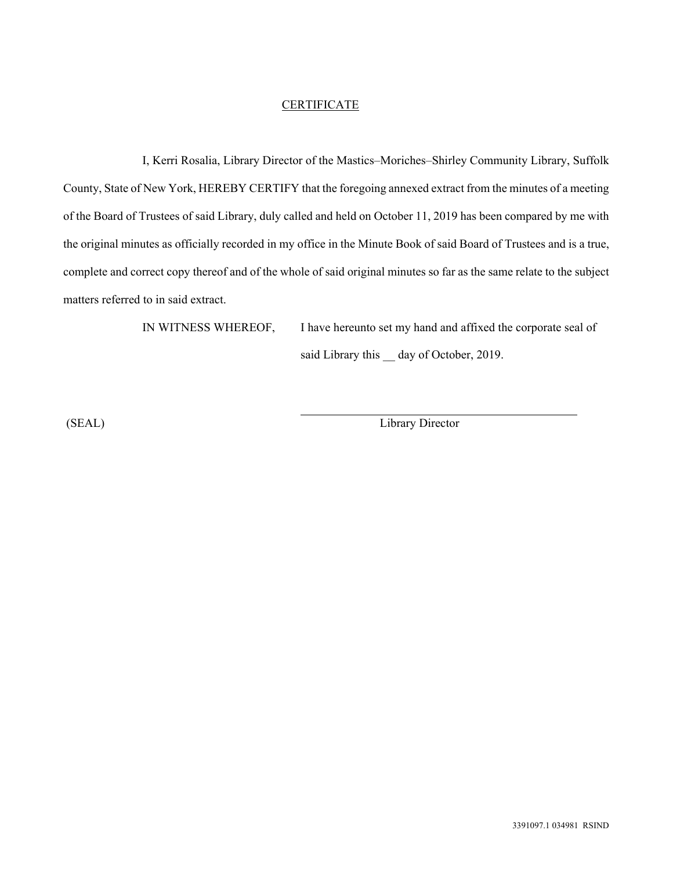#### **CERTIFICATE**

I, Kerri Rosalia, Library Director of the Mastics–Moriches–Shirley Community Library, Suffolk County, State of New York, HEREBY CERTIFY that the foregoing annexed extract from the minutes of a meeting of the Board of Trustees of said Library, duly called and held on October 11, 2019 has been compared by me with the original minutes as officially recorded in my office in the Minute Book of said Board of Trustees and is a true, complete and correct copy thereof and of the whole of said original minutes so far as the same relate to the subject matters referred to in said extract.

 $\overline{a}$ 

IN WITNESS WHEREOF, I have hereunto set my hand and affixed the corporate seal of said Library this \_ day of October, 2019.

(SEAL) Library Director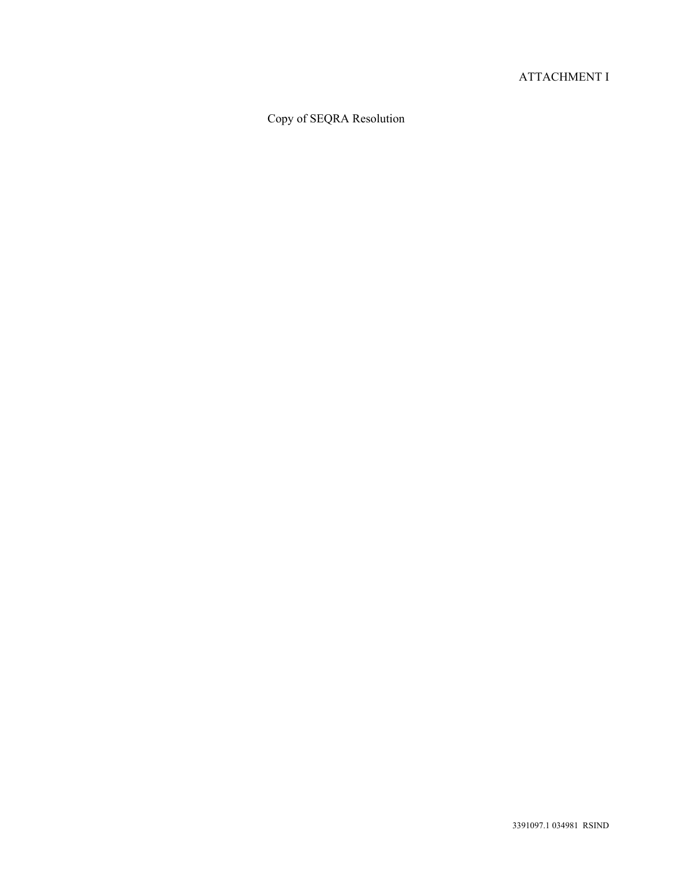#### ATTACHMENT I

### Copy of SEQRA Resolution